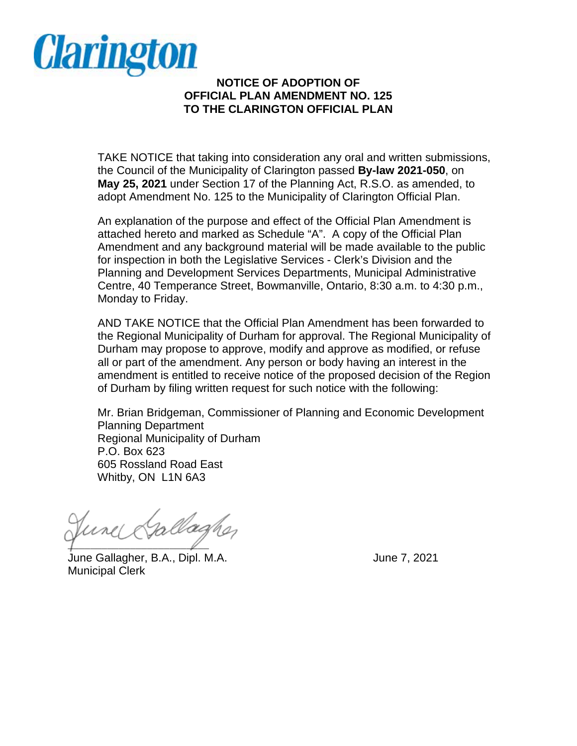

## **NOTICE OF ADOPTION OF OFFICIAL PLAN AMENDMENT NO. 125 TO THE CLARINGTON OFFICIAL PLAN**

 adopt Amendment No. 125 to the Municipality of Clarington Official Plan. TAKE NOTICE that taking into consideration any oral and written submissions, the Council of the Municipality of Clarington passed **By-law 2021-050**, on **May 25, 2021** under Section 17 of the Planning Act, R.S.O. as amended, to

 attached hereto and marked as Schedule "A". A copy of the Official Plan for inspection in both the Legislative Services - Clerk's Division and the An explanation of the purpose and effect of the Official Plan Amendment is Amendment and any background material will be made available to the public Planning and Development Services Departments, Municipal Administrative Centre, 40 Temperance Street, Bowmanville, Ontario, 8:30 a.m. to 4:30 p.m., Monday to Friday.

 Durham may propose to approve, modify and approve as modified, or refuse all or part of the amendment. Any person or body having an interest in the AND TAKE NOTICE that the Official Plan Amendment has been forwarded to the Regional Municipality of Durham for approval. The Regional Municipality of amendment is entitled to receive notice of the proposed decision of the Region of Durham by filing written request for such notice with the following:

 Whitby, ON L1N 6A3 Mr. Brian Bridgeman, Commissioner of Planning and Economic Development Planning Department Regional Municipality of Durham P.O. Box 623 605 Rossland Road East

allagher  $\sqrt{2}$ 

 June Gallagher, B.A., Dipl. M.A. June 7, 2021 Municipal Clerk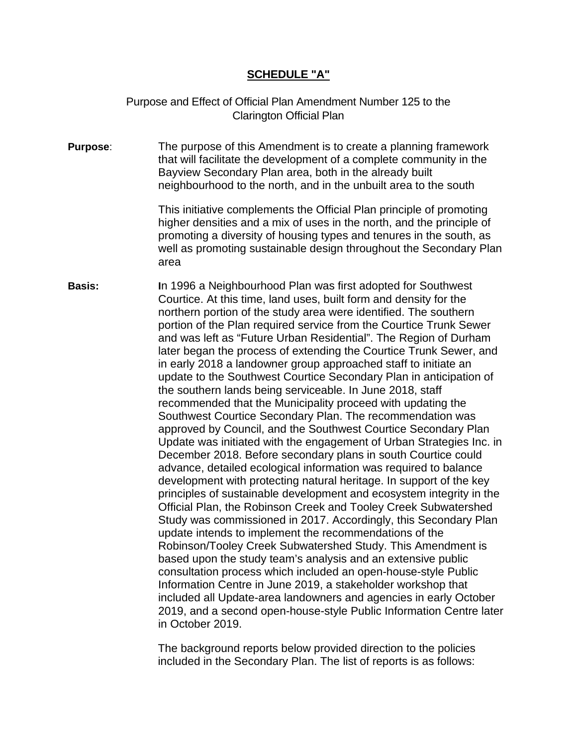## **SCHEDULE "A"**

 Purpose and Effect of Official Plan Amendment Number 125 to the Clarington Official Plan

 Bayview Secondary Plan area, both in the already built **Purpose**: The purpose of this Amendment is to create a planning framework that will facilitate the development of a complete community in the neighbourhood to the north, and in the unbuilt area to the south

> This initiative complements the Official Plan principle of promoting higher densities and a mix of uses in the north, and the principle of promoting a diversity of housing types and tenures in the south, as well as promoting sustainable design throughout the Secondary Plan area

 Courtice. At this time, land uses, built form and density for the update to the Southwest Courtice Secondary Plan in anticipation of Update was initiated with the engagement of Urban Strategies Inc. in development with protecting natural heritage. In support of the key **Basis: I**n 1996 a Neighbourhood Plan was first adopted for Southwest northern portion of the study area were identified. The southern portion of the Plan required service from the Courtice Trunk Sewer and was left as "Future Urban Residential". The Region of Durham later began the process of extending the Courtice Trunk Sewer, and in early 2018 a landowner group approached staff to initiate an the southern lands being serviceable. In June 2018, staff recommended that the Municipality proceed with updating the Southwest Courtice Secondary Plan. The recommendation was approved by Council, and the Southwest Courtice Secondary Plan December 2018. Before secondary plans in south Courtice could advance, detailed ecological information was required to balance principles of sustainable development and ecosystem integrity in the Official Plan, the Robinson Creek and Tooley Creek Subwatershed Study was commissioned in 2017. Accordingly, this Secondary Plan update intends to implement the recommendations of the Robinson/Tooley Creek Subwatershed Study. This Amendment is based upon the study team's analysis and an extensive public consultation process which included an open-house-style Public Information Centre in June 2019, a stakeholder workshop that included all Update-area landowners and agencies in early October 2019, and a second open-house-style Public Information Centre later in October 2019.

> The background reports below provided direction to the policies included in the Secondary Plan. The list of reports is as follows: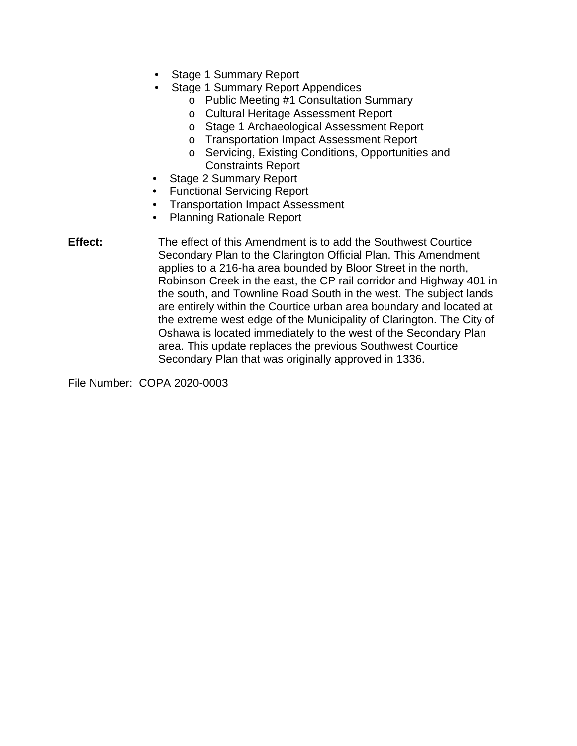- Stage 1 Summary Report
- Stage 1 Summary Report Appendices
	- o Public Meeting #1 Consultation Summary
	- o Cultural Heritage Assessment Report
	- o Stage 1 Archaeological Assessment Report
	- o Transportation Impact Assessment Report
	- o Servicing, Existing Conditions, Opportunities and Constraints Report
- Stage 2 Summary Report
- Functional Servicing Report
- Transportation Impact Assessment
- Planning Rationale Report

 Robinson Creek in the east, the CP rail corridor and Highway 401 in the extreme west edge of the Municipality of Clarington. The City of **Effect:** The effect of this Amendment is to add the Southwest Courtice Secondary Plan to the Clarington Official Plan. This Amendment applies to a 216-ha area bounded by Bloor Street in the north, the south, and Townline Road South in the west. The subject lands are entirely within the Courtice urban area boundary and located at Oshawa is located immediately to the west of the Secondary Plan area. This update replaces the previous Southwest Courtice Secondary Plan that was originally approved in 1336.

File Number: COPA 2020-0003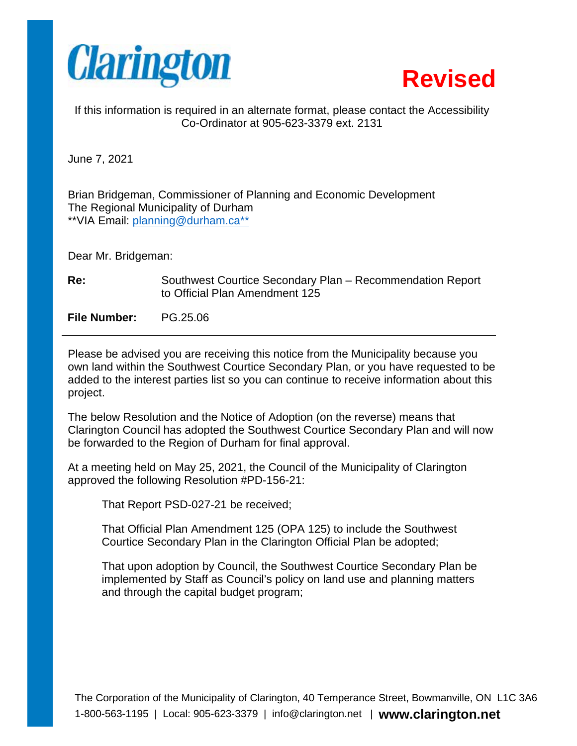



If this information is required in an alternate format, please contact the Accessibility Co-Ordinator at 905-623-3379 ext. 2131

June 7, 2021

Brian Bridgeman, Commissioner of Planning and Economic Development The Regional Municipality of Durham \*\*VIA Email: [planning@durham.ca](mailto:planning@durham.ca)\*\*

Dear Mr. Bridgeman:

**Re:** Southwest Courtice Secondary Plan – Recommendation Report to Official Plan Amendment 125

**File Number:** [PG.25.06](https://PG.25.06)

Please be advised you are receiving this notice from the Municipality because you own land within the Southwest Courtice Secondary Plan, or you have requested to be added to the interest parties list so you can continue to receive information about this project.

The below Resolution and the Notice of Adoption (on the reverse) means that Clarington Council has adopted the Southwest Courtice Secondary Plan and will now be forwarded to the Region of Durham for final approval.

At a meeting held on May 25, 2021, the Council of the Municipality of Clarington approved the following Resolution #PD-156-21:

That Report PSD-027-21 be received;

That Official Plan Amendment 125 (OPA 125) to include the Southwest Courtice Secondary Plan in the Clarington Official Plan be adopted;

That upon adoption by Council, the Southwest Courtice Secondary Plan be implemented by Staff as Council's policy on land use and planning matters and through the capital budget program;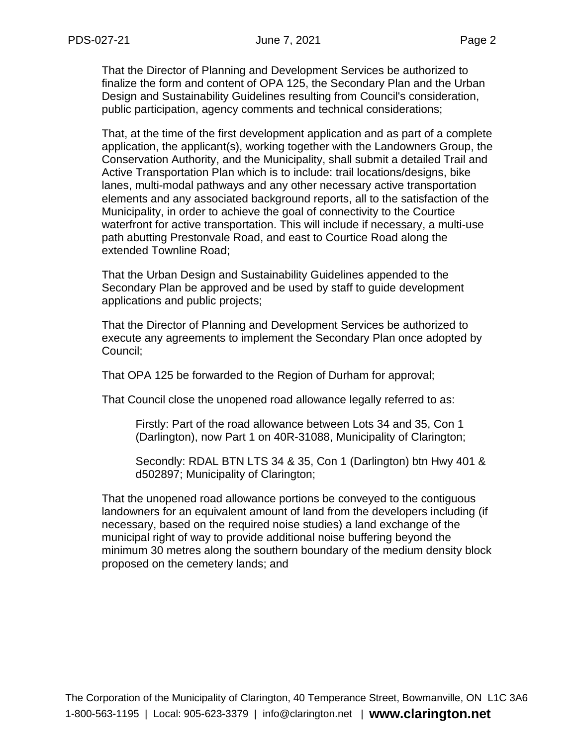That the Director of Planning and Development Services be authorized to finalize the form and content of OPA 125, the Secondary Plan and the Urban Design and Sustainability Guidelines resulting from Council's consideration, public participation, agency comments and technical considerations;

 Conservation Authority, and the Municipality, shall submit a detailed Trail and That, at the time of the first development application and as part of a complete application, the applicant(s), working together with the Landowners Group, the Active Transportation Plan which is to include: trail locations/designs, bike lanes, multi-modal pathways and any other necessary active transportation elements and any associated background reports, all to the satisfaction of the Municipality, in order to achieve the goal of connectivity to the Courtice waterfront for active transportation. This will include if necessary, a multi-use path abutting Prestonvale Road, and east to Courtice Road along the extended Townline Road;

That the Urban Design and Sustainability Guidelines appended to the Secondary Plan be approved and be used by staff to guide development applications and public projects;

That the Director of Planning and Development Services be authorized to execute any agreements to implement the Secondary Plan once adopted by Council;

That OPA 125 be forwarded to the Region of Durham for approval;

That Council close the unopened road allowance legally referred to as:

Firstly: Part of the road allowance between Lots 34 and 35, Con 1 (Darlington), now Part 1 on 40R-31088, Municipality of Clarington;

 Secondly: RDAL BTN LTS 34 & 35, Con 1 (Darlington) btn Hwy 401 & d502897; Municipality of Clarington;

That the unopened road allowance portions be conveyed to the contiguous landowners for an equivalent amount of land from the developers including (if necessary, based on the required noise studies) a land exchange of the municipal right of way to provide additional noise buffering beyond the minimum 30 metres along the southern boundary of the medium density block proposed on the cemetery lands; and